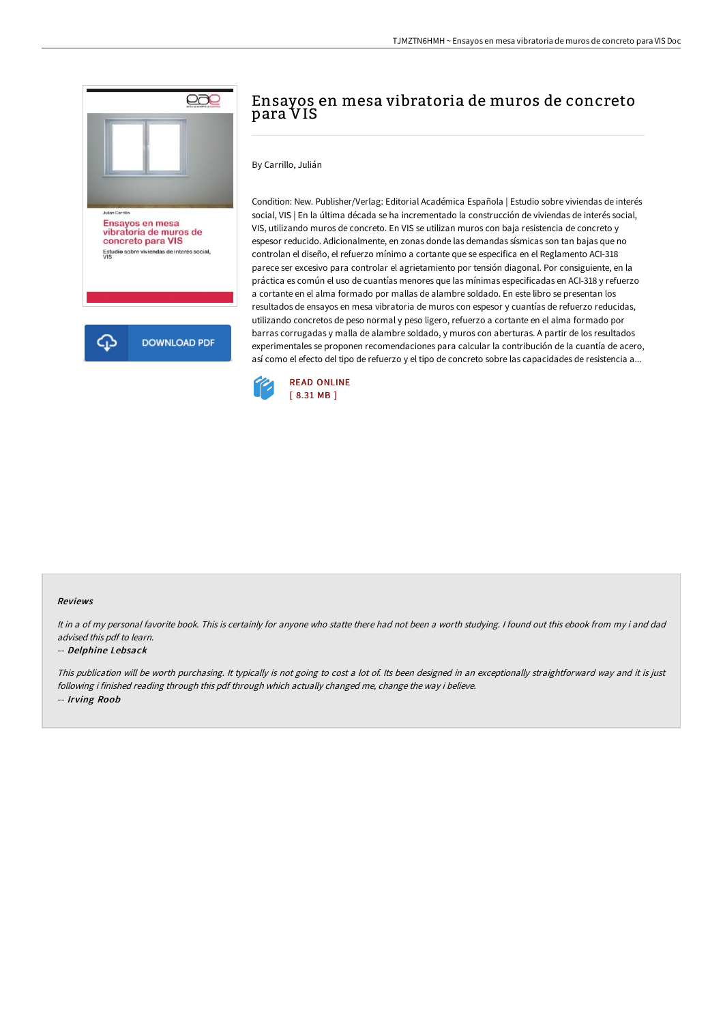

# Ensayos en mesa vibratoria de muros de concreto para VIS

#### By Carrillo, Julián

Condition: New. Publisher/Verlag: Editorial Académica Española | Estudio sobre viviendas de interés social, VIS | En la última década se ha incrementado la construcción de viviendas de interés social, VIS, utilizando muros de concreto. En VIS se utilizan muros con baja resistencia de concreto y espesor reducido. Adicionalmente, en zonas donde las demandas sísmicas son tan bajas que no controlan el diseño, el refuerzo mínimo a cortante que se especifica en el Reglamento ACI-318 parece ser excesivo para controlar el agrietamiento por tensión diagonal. Por consiguiente, en la práctica es común el uso de cuantías menores que las mínimas especificadas en ACI-318 y refuerzo a cortante en el alma formado por mallas de alambre soldado. En este libro se presentan los resultados de ensayos en mesa vibratoria de muros con espesor y cuantías de refuerzo reducidas, utilizando concretos de peso normal y peso ligero, refuerzo a cortante en el alma formado por barras corrugadas y malla de alambre soldado, y muros con aberturas. A partir de los resultados experimentales se proponen recomendaciones para calcular la contribución de la cuantía de acero, así como el efecto del tipo de refuerzo y el tipo de concreto sobre las capacidades de resistencia a...



#### Reviews

It in a of my personal favorite book. This is certainly for anyone who statte there had not been a worth studying. I found out this ebook from my i and dad advised this pdf to learn.

#### -- Delphine Lebsack

This publication will be worth purchasing. It typically is not going to cost <sup>a</sup> lot of. Its been designed in an exceptionally straightforward way and it is just following i finished reading through this pdf through which actually changed me, change the way i believe. -- Irving Roob